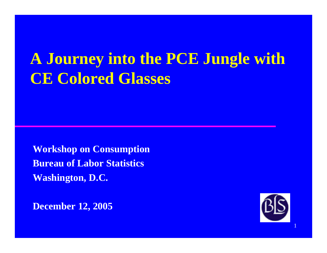# **A Journey into the PCE Jungle with CE Colored Glasses**

**Workshop on Consumption Bureau of Labor Statistics Washington, D.C.**

**December 12 2005 12,** 



1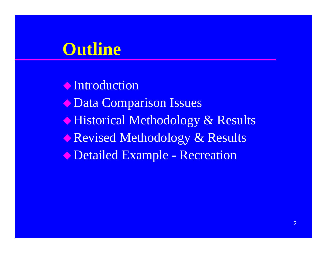## **Outline**

**Introduction**  $\blacklozenge$  Data Comparison Issues **Historical Methodology & Results** Revised Methodology & Results Detailed Example - Recreation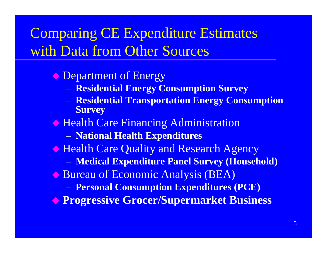## **Comparing CE Expenditure Estimates** with Data from Other Sources

- ← Department of Energy
	- Residential Energy Consumption Survey
	- Residential Transportation Energy Consumption **Survey**
- **Example 2 Health Care Financing Administration** 
	- National Health Expenditures
- **Example 2 Health Care Quality and Research Agency** 
	- Medical Expenditure Panel Survey (Household)
- Bureau of Economic Analysis (BEA)
	- Personal Consumption Expenditures (PCE)
- **Progressive Grocer/Supermarket Business**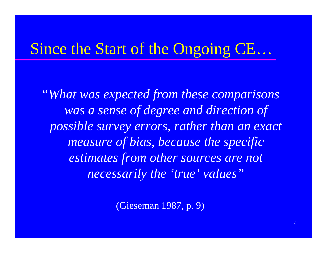## Since the Start of the Ongoing CE...

"What was expected from these comparisons was a sense of degree and direction of possible survey errors, rather than an exact measure of bias, because the specific estimates from other sources are not necessarily the 'true' values"

(Gieseman 1987, p. 9)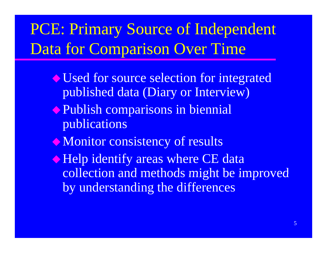# PCE: Primary Source of Independent Data for Comparison Over Time

- Used for source selection for integrated published data (Diary or Interview)
- **Publish comparisons in biennial** publications
- $\bullet$  Monitor consistency of results
- **Example 1 Felp identify areas where CE data** collection and methods might be improved by understanding the differences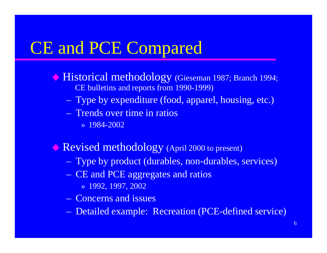# CE and PCE Compared

- $\blacklozenge$  Historical methodology (Gieseman 1987; Branch 1994; CE bulletins and reports from 1990-1999)
	- Type by expenditure (food, apparel, housing, etc.)
	- Trends over time in ratios
		- » 1984-2002
- Revised methodology (April 2000 to present)
	- Type by product (durables, non-durables, services)
	- CE and PCE aggregates and ratios
		- » 1992, 1997, 2002
	- Concerns and issues
	- Detailed example: Recreation (PCE-defined service)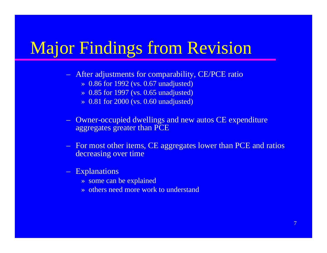# Major Findings from Revision

- $\sim$ After adjustments for comparability, CE/PCE ratio
	- » 0.86 for 1992 (vs. 0.67 unadjusted)
	- » 0.85 for 1997 (vs. 0.65 unadjusted)
	- » 0.81 for 2000 (vs. 0.60 unadjusted)
- $\sim$  Owner-occupied dwellings and new autos CE expenditure aggregates greater than PCE
- $\mathcal{L}_{\mathcal{A}}$  For most other items, CE aggregates lower than PCE and ratios decreasing over time
- Explanations
	- » some can be explained
	- » others need more work to understand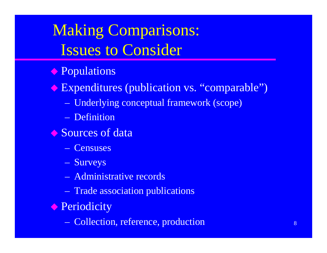# **Making Comparisons: Issues to Consider**

- **Populations**
- Expenditures (publication vs. "comparable")
	- Underlying conceptual framework (scope)
	- Definition
- Sources of data
	- Censuses
	- Surveys
	- Administrative records
	- Trade association publications
- ← Periodicity
	- Collection, reference, production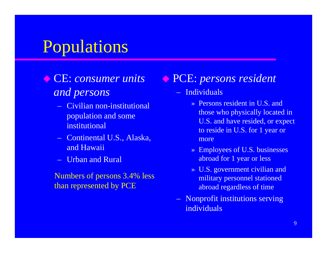## Populations

### CE: consumer units *and persons*

- Civilian non-institutional population and some institutional
- Continental U.S., Alaska, and Hawaii
- Urban and Rural

than represented by PCE

### CE: *consumer units* PCE: *persons resident*

- Individuals
	- » Persons resident in U.S. and those who physically located in U.S. and have resided, or expect to reside in U.S. for 1 year or more
	- » Employees of U.S. businesses abroad for 1 year or less
- » U.S. government civilian and Numbers of persons 3.4% less  $\longrightarrow$  U.S. government civilian and military personnel stationed abroad regardless of time
	- Nonprofit institutions serving individuals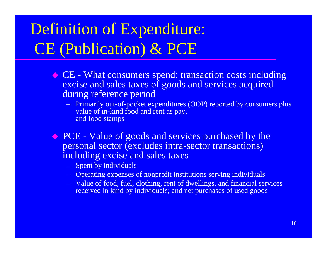# Definition of Expenditure: CE (Publication) & PCE

- CE What consumers spend: transaction costs including excise and sales taxes of goods and services acquired during reference period
	- Primarily out-of-pocket expenditures (OOP) reported by consumers plus value of in-kind food and rent as pay. alue of in-kind food and rent as pay, and food stamps
- ◆ PCE Value of goods and services purchased by the personal sector (excludes intra-sector transactions) including excise and sales taxes
	- Spent by individuals
	- Operating expenses of nonprofit institutions serving individuals
	- Value of food, fuel, clothing, rent of dwellings, and financial services received in kind by individuals; and net purchases of used goods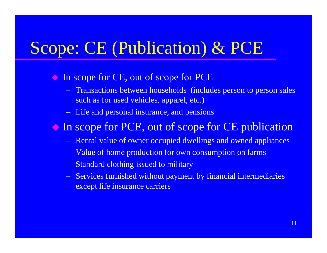# Scope: CE (Publication) & PCE

- In scope for CE, out of scope for PCE
	- $\sim$  Transactions between households (includes person to person sales such as for used vehicles, apparel, etc.)
	- Life and personal insurance, and pensions

In scope for PCE, out of scope for CE publication

- <del>katalog katalog a</del> Rental value of owner occupied dwellings and owned appliances
- $\sim$ Value of home production for own consumption on farms
- $\sim$ Standard clothing issued to military
- Services furnished without payment by financial intermediaries except life insurance carriers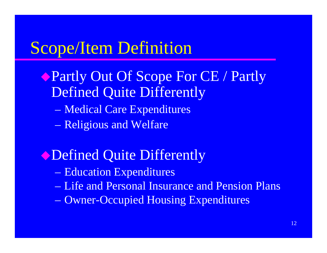# Scope/Item Definition

- Partly Out Of Scope For CE / Partly **Defined Quite Differently** 
	- Medical Care Expenditures
	- Religious and Welfare
- **Obefined Quite Differently** 
	- Education Expenditures
	- Life and Personal Insurance and Pension Plans
	- Owner-Occupied Housing Expenditures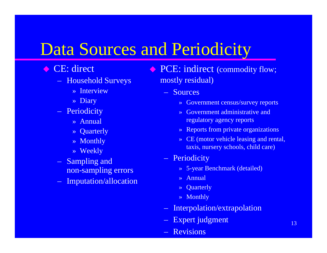## Data Sources and Periodicity

- ◆ CE: direct
	- Household S
		- » Interview
		- » Diary
	- Periodicity
		- » Annual
		- » Quarterly
		- » Monthly
		- » Weekly
	- Sampling and non-sam plin g errors
	- Imputation/allocation » Annual

◆ PCE: indirect (commodity flow; Surveys mostly residual)<br>Market Sources

- Sources
	- » Government census/survey reports
- Periodicity and service and service and service and service and service and service and service and service and service and service and service and service and service and service and service and service and service and regulatory agency reports
	- » Reports from private organizations
	- » CE (motor vehicle leasing and rental, taxis, nursery schools, child care)
	- **Periodicity**
	- pling errors  $\longrightarrow$  5-year Benchmark (detailed)
		-
		- » Quarterly
		- » Monthly
		- Interpolation/extrapolation
		- Expert judgment
		- **Revisions**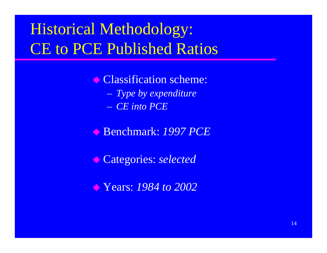# Historical Methodology: **CE to PCE Published Ratios**

• Classification scheme: *Type by expenditure* – *CE into PCE*

Benchmark: *1997 PCE*

Categories: *selected*

Years: *1984 to 2002*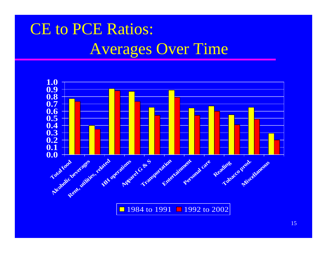# **CE to PCE Ratios: Averages Over Time**

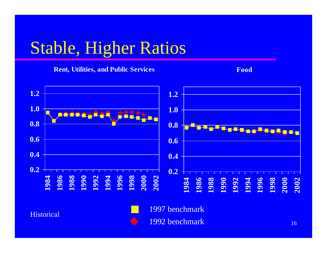# Stable, Higher Ratios

#### **Rent, Utilities, and Public Services Food Food**





**Historical** 

1997 benchmark

1992 benchmark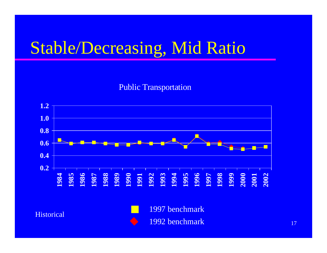# Stable/Decreasing, Mid Ratio

#### Public Transportation

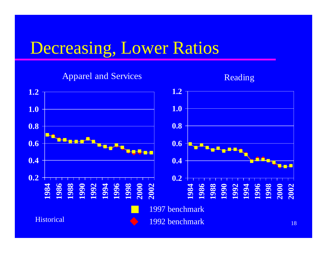## Decreasing, Lower Ratios



**Historical** 

1992 benchmark

**2002**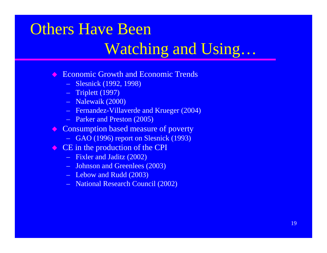### Others Have Been

### Watching and Using …

- $\Diamond$  Economic Growth and Economic Trends
	- Slesnick (1992, 1998)
	- Triplett (1997)
	- Nalewaik (2000)
	- Fernandez-Villaverde and Krueger (2004)
	- Parker and Preston (2005)
- Consumption based measure of poverty
	- GAO (1996) report on Slesnick (1993)
- $\leftrightarrow$  CE in the production of the CPI
	- Fixler and Jaditz (2002)
	- Johnson and Greenlees (2003)
	- Lebow and Rudd (2003)
	- National Research Council (2002)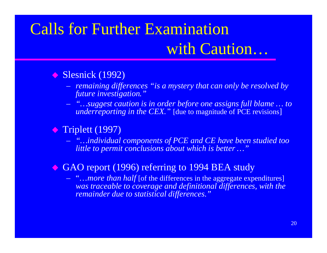# Calls for Further Examination with Caution...

#### $\Diamond$  $\blacklozenge$  Slesnick (1992)

- *remaining differences "is a mystery that can only be resolved by future investigation."*
- *"…suggest caution is in order before one assigns full blame … to underreporting in the CEX.* " [due to magnitude of PCE revisions]

### ◆ Triplett (1997)

– *" …individual components of PCE and CE have been studied too individual little to permit conclusions about which is better …"*

#### $\Diamond$ GAO report (1996) referring to 1994 BEA study

– "…*more than half* [of the differences in the aggregate expenditures] *was traceable to coverage and definitional differences, with the remainder due to statistical differences."*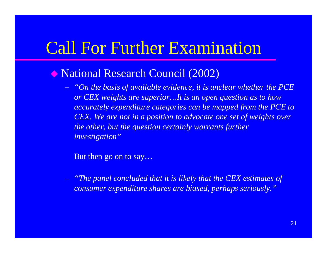## **Call For Further Examination**

- ◆ National Research Council (2002)
	- *"On the basis of available evidence, it is unclear whether the PCE or CEX weights are superior…It is an open question as to how accuratelyp g ex enditure cate gories can be mapp f ed from the PCE to CEX. We are not in a position to advocate one set of weights over the other, but the question certainly warrants further investigation"*

But then go on to say…

 *"The panel concluded that it is likely that the CEX estimates of consumer expenditure shares are biased, perhaps seriously."*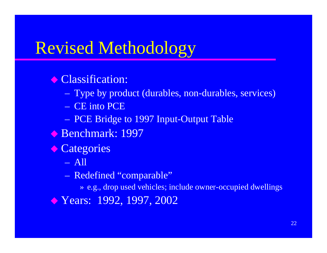## Revised Methodology

### **Classification:**

- Type by product (durables, non-durables, services)
- CE into PCE
- PCE Bridge to 1997 Input-Output Table
- Benchmark: 1997
- ◆ Categories
	- All
	- Redefined "comparable"
		- » e.g., drop used vehicles; include owner-occupied dwellings
- ◆ Years: 1992, 1997, 2002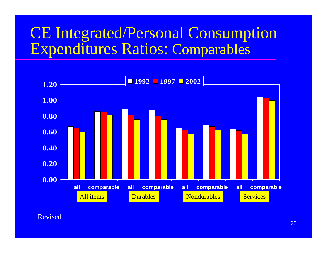### CE Integrated/Personal Consumption Expenditures Ratios: ures Ratios: Comparables



Revised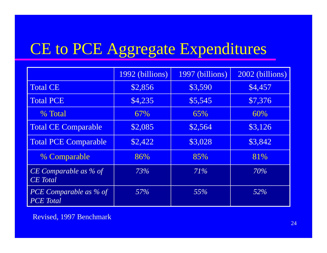#### CE to PCE Aggregate Expenditures ures

|                                          | 1992 (billions) | 1997 (billions) | 2002 (billions) |
|------------------------------------------|-----------------|-----------------|-----------------|
| <b>Total CE</b>                          | \$2,856         | \$3,590         | \$4,457         |
| <b>Total PCE</b>                         | \$4,235         | \$5,545         | \$7,376         |
| % Total                                  | 67%             | 65%             | 60%             |
| <b>Total CE Comparable</b>               | \$2,085         | \$2,564         | \$3,126         |
| <b>Total PCE Comparable</b>              | \$2,422         | \$3,028         | \$3,842         |
| % Comparable                             | 86%             | 85%             | 81%             |
| CE Comparable as % of<br><b>CE</b> Total | 73%             | 71%             | 70%             |
| PCE Comparable as % of<br>PCE Total      | 57%             | 55%             | 52%             |

Revised, 1997 Benchmark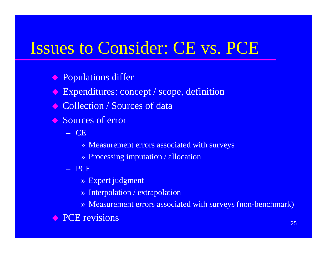## Issues to Consider: CE vs. PCE

**• Populations differ** 

 $\begin{pmatrix} 1 \\ 1 \end{pmatrix}$ Expenditures: concept / scope, definition

**◆ Collection / Sources of data** 

**◆ Sources of error** 

– CE

- » Measurement errors associated with surveys
- » Processing imputation / allocation

– PCE

» Expert judgment

» Interpolation / extrapolation

» Measurement errors associated with surveys (non-benchmark)

**• PCE revisions**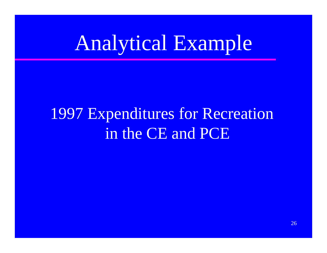# Analytical Example

# **1997 Expenditures for Recreation** in the CE and PCE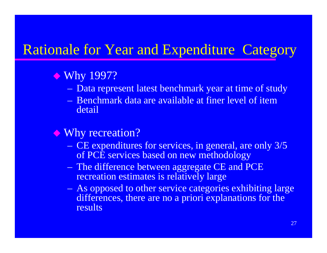### Rationale for Year and Expenditure Category

### ◆ Why 1997?

- Data represent latest benchmark year at time of study
- Benchmark data are available at finer level of item detail

### ◆ Why recreation?

- CE expenditures for services, in general, are only 3/5 of PCE services based on new methodology
- The difference between aggregate CE and PCE recreation estimates is relatively large
- $\mathcal{L}_{\mathcal{A}}$  As opposed to other service categories exhibiting large differences, there are no a priori explanations for the results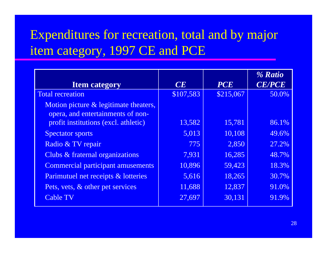### Expenditures for recreation, total and by major item category, 1997 CE and PCE

|                                          |           |            | % Ratio       |
|------------------------------------------|-----------|------------|---------------|
| <b>Item category</b>                     | CE        | <b>PCE</b> | <b>CE/PCE</b> |
| <b>Total recreation</b>                  | \$107,583 | \$215,067  | 50.0%         |
| Motion picture & legitimate theaters,    |           |            |               |
| opera, and entertainments of non-        |           |            |               |
| profit institutions (excl. athletic)     | 13,582    | 15,781     | 86.1%         |
| <b>Spectator sports</b>                  | 5,013     | 10,108     | 49.6%         |
| Radio & TV repair                        | 775       | 2,850      | 27.2%         |
| Clubs & fraternal organizations          | 7,931     | 16,285     | 48.7%         |
| <b>Commercial participant amusements</b> | 10,896    | 59,423     | 18.3%         |
| Parimutuel net receipts & lotteries      | 5,616     | 18,265     | 30.7%         |
| Pets, vets, & other pet services         | 11,688    | 12,837     | 91.0%         |
| <b>Cable TV</b>                          | 27,697    | 30,131     | 91.9%         |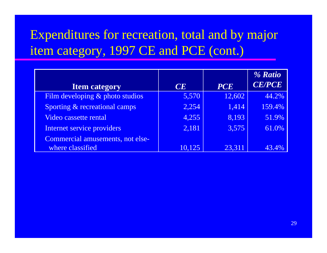### Expenditures for recreation, total and by major item category, 1997 CE and PCE (cont.)

|                                  |        |            | % Ratio       |
|----------------------------------|--------|------------|---------------|
| <b>Item category</b>             | CE     | <b>PCE</b> | <b>CE/PCE</b> |
| Film developing & photo studios  | 5,570  | 12,602     | 44.2%         |
| Sporting & recreational camps    | 2,254  | 1,414      | 159.4%        |
| Video cassette rental            | 4,255  | 8,193      | 51.9%         |
| Internet service providers       | 2,181  | 3,575      | 61.0%         |
| Commercial amusements, not else- |        |            |               |
| where classified                 | 10,125 | 23,311     |               |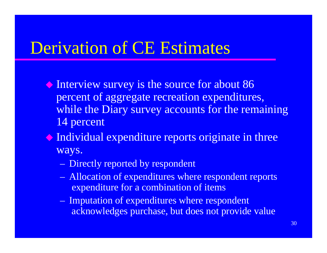## Derivation of CE Estimates

- Interview survey is the source for about 86 percent of aggregate recreation expenditures, while the Diary survey accounts for the remaining 14 percent
- $\bullet$  Individual expenditure reports originate in three ways.
	- Directly reported by respondent
	- Allocation of expenditures where respondent reports expenditure for a combination of items
	- Imputation of expenditures where respondent acknowledges purchase, but does not provide value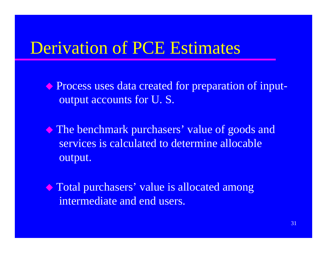## Derivation of PCE Estimates

 Process uses data created for preparation of inputoutput accounts for U. S.

 The benchmark purchasers' value of goods and services is calculated to determine allocable output.

 Total purchasers' value is allocated among intermediate and end users.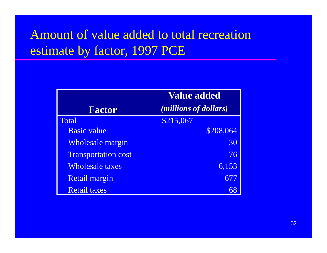### Amount of value added to total recreation estimate by factor, 1997 PCE

|                            | <b>Value added</b>    |           |  |  |
|----------------------------|-----------------------|-----------|--|--|
| <b>Factor</b>              | (millions of dollars) |           |  |  |
| Total                      | \$215,067             |           |  |  |
| <b>Basic value</b>         |                       | \$208,064 |  |  |
| <b>Wholesale margin</b>    |                       | 30        |  |  |
| <b>Transportation cost</b> |                       | 76        |  |  |
| <b>Wholesale taxes</b>     |                       | 6,153     |  |  |
| <b>Retail margin</b>       |                       | 677       |  |  |
| <b>Retail taxes</b>        |                       |           |  |  |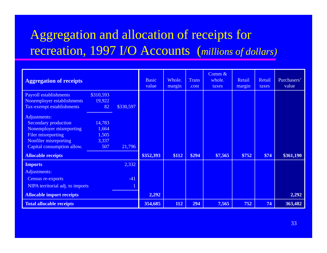### Aggregation and allocation of receipts for recreation, 1997 I/O Accounts (*millions of dollars*)

| <b>Aggregation of receipts</b>   |           |           | <b>Basic</b><br>value | Whole.<br>margin | <b>Trans</b><br>.cost | Comm $\&$<br>whole.<br>taxes | Retail<br>margin | Retail<br>taxes | Purchasers'<br>value |
|----------------------------------|-----------|-----------|-----------------------|------------------|-----------------------|------------------------------|------------------|-----------------|----------------------|
| <b>Payroll establishments</b>    | \$310,593 |           |                       |                  |                       |                              |                  |                 |                      |
| Nonemployer establishments       | 19,922    |           |                       |                  |                       |                              |                  |                 |                      |
| Tax-exempt establishments        | 82        | \$330,597 |                       |                  |                       |                              |                  |                 |                      |
| Adjustments:                     |           |           |                       |                  |                       |                              |                  |                 |                      |
| <b>Secondary production</b>      | 14,783    |           |                       |                  |                       |                              |                  |                 |                      |
| Nonemployer misreporting         | 1,664     |           |                       |                  |                       |                              |                  |                 |                      |
| Filer misreporting               | 1,505     |           |                       |                  |                       |                              |                  |                 |                      |
| Nonfiler misreporting            | 3,337     |           |                       |                  |                       |                              |                  |                 |                      |
| Capital consumption allow.       | 507       | 21,796    |                       |                  |                       |                              |                  |                 |                      |
| <b>Allocable receipts</b>        |           |           | \$352,393             | \$112            | \$294                 | \$7,565                      | \$752            | \$74            | \$361,190            |
| <b>Imports</b>                   |           | 2,332     |                       |                  |                       |                              |                  |                 |                      |
| Adjustments:                     |           |           |                       |                  |                       |                              |                  |                 |                      |
| Census re-exports                |           | $-41$     |                       |                  |                       |                              |                  |                 |                      |
| NIPA territorial adj. to imports |           |           |                       |                  |                       |                              |                  |                 |                      |
| <b>Allocable import receipts</b> |           |           | 2,292                 |                  |                       |                              |                  |                 | 2,292                |
| <b>Total allocable receipts</b>  |           |           | 354,685               | 112              | 294                   | 7,565                        | 752              | 74              | 363,482              |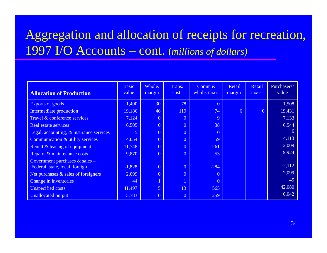### Aggregation and allocation of receipts for recreation, 1997 I/O A Accounts – cont. (*millions of dollars)*

|                                         | <b>Basic</b><br>value | Whole.         | Trans.         | Comm $\&$<br>whole. taxes | Retail | Retail         | Purchasers'<br>value |
|-----------------------------------------|-----------------------|----------------|----------------|---------------------------|--------|----------------|----------------------|
| <b>Allocation of Production</b>         |                       | margin         | cost           |                           | margin | taxes          |                      |
| Exports of goods                        | 1,400                 | 30             | 78             | $\overline{0}$            |        |                | 1,508                |
| Intermediate production                 | 19,186                | 46             | 119            | 74                        | 6      | $\overline{0}$ | 19,431               |
| Travel & conference services            | 7,124                 | $\overline{0}$ | $\overline{0}$ | 9                         |        |                | 7,133                |
| Real estate services                    | 6,505                 | $\overline{0}$ | $\overline{0}$ | 38                        |        |                | 6,544                |
| Legal, accounting, & insurance services | 5.                    | $\overline{0}$ | $\overline{0}$ | $\overline{0}$            |        |                | 6                    |
| Communication & utility services        | 4,054                 | $\overline{0}$ | $\overline{0}$ | 59                        |        |                | 4,113                |
| Rental & leasing of equipment           | 11,748                | $\overline{0}$ | $\overline{0}$ | 261                       |        |                | 12,009               |
| Repairs & maintenance costs             | 9,870                 | $\overline{0}$ | $\overline{0}$ | 53                        |        |                | 9,924                |
| Government purchases $&$ sales –        |                       |                |                |                           |        |                |                      |
| Federal, state, local, foreign          | $-1,828$              | $\overline{0}$ | $\overline{0}$ | $-284$                    |        |                | $-2,112$             |
| Net purchases & sales of foreigners     | 2,099                 | $\overline{0}$ | $\overline{0}$ | $\overline{0}$            |        |                | 2,099                |
| Change in inventories                   | 44                    | $\mathbf{1}$   | $\overline{1}$ | $\overline{0}$            |        |                | 45                   |
| Unspecified costs                       | 41,497                | $\overline{5}$ | 13             | 565                       |        |                | 42,080               |
| <b>Unallocated output</b>               | 5,783                 | $\overline{0}$ | $\overline{0}$ | 259                       |        |                | 6,042                |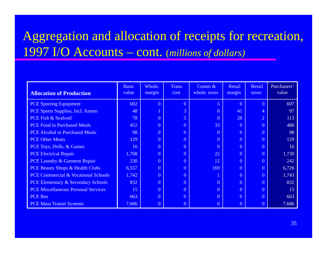### Aggregation and allocation of receipts for recreation, 1997 I/O Accounts – cont. (*millions of dollars)*

| <b>Allocation of Production</b>               | <b>Basic</b><br>value | Whole.<br>margin | Trans.<br>cost | Comm $\&$<br>whole. taxes | Retail<br>margin | Retail<br>taxes | Purchasers'<br>value |
|-----------------------------------------------|-----------------------|------------------|----------------|---------------------------|------------------|-----------------|----------------------|
| <b>PCE Sporting Equipment</b>                 | 602                   | $\overline{0}$   | $\overline{0}$ | 5                         | $\overline{0}$   | $\overline{0}$  | 607                  |
| PCE Sports Supplies, Incl. Ammo               | 48                    |                  | 3              | $\overline{0}$            | 41               | 4               | 97                   |
| PCE Fish & Seafood                            | 78                    | $\overline{0}$   | 5              | $\overline{0}$            | 28               | $\overline{2}$  | 113                  |
| <b>PCE Food in Purchased Meals</b>            | 452                   | $\overline{0}$   | $\overline{0}$ | 33                        | $\overline{0}$   | $\overline{0}$  | 486                  |
| <b>PCE Alcohol in Purchased Meals</b>         | 98                    | $\overline{0}$   | $\overline{0}$ | $\overline{0}$            | $\overline{0}$   | $\theta$        | 98                   |
| <b>PCE Other Meats</b>                        | 129                   | $\overline{0}$   | $\overline{0}$ | $\overline{0}$            | $\overline{0}$   | $\overline{0}$  | 129                  |
| PCE Toys, Dolls, & Games                      | 16                    | $\overline{0}$   | $\overline{0}$ | $\overline{0}$            | $\overline{0}$   | $\overline{0}$  | 16                   |
| <b>PCE Electrical Repair</b>                  | 1,708                 | $\overline{0}$   | $\overline{0}$ | 22                        | $\overline{0}$   | $\theta$        | 1,730                |
| PCE Laundry & Garment Repair                  | 230                   | $\overline{0}$   | $\overline{0}$ | 12                        | $\overline{0}$   | $\Omega$        | 242                  |
| <b>PCE Beauty Shops &amp; Health Clubs</b>    | 6,557                 | $\overline{0}$   | $\overline{0}$ | 169                       | $\overline{0}$   | $\Omega$        | 6,726                |
| PCE Commercial & Vocational Schools           | 1,742                 | $\overline{0}$   | $\overline{0}$ |                           | $\overline{0}$   | $\Omega$        | 1,743                |
| <b>PCE Elementary &amp; Secondary Schools</b> | 832                   | $\overline{0}$   | $\overline{0}$ | $\overline{0}$            | $\overline{0}$   | $\overline{0}$  | 832                  |
| <b>PCE Miscellaneous Personal Services</b>    | 15                    | $\overline{0}$   | $\overline{0}$ | $\overline{0}$            | $\overline{0}$   | $\overline{0}$  | 15                   |
| <b>PCE Bus</b>                                | 663                   | $\overline{0}$   | $\overline{0}$ | $\overline{0}$            | $\overline{0}$   | $\overline{0}$  | 663                  |
| <b>PCE Mass Transit Systems</b>               | 7,686                 | $\overline{0}$   | $\overline{0}$ | $\overline{0}$            | $\overline{0}$   |                 | 7,686                |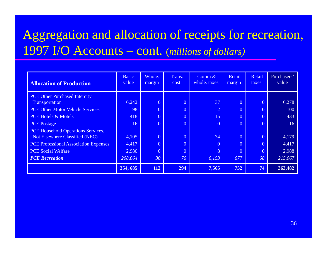### Aggregation and allocation of receipts for recreation, I/O A Accounts – cont. (*millions of dollars)*

| <b>Allocation of Production</b>              | <b>Basic</b><br>value | Whole.<br>margin | Trans.<br>cost | Comm $\&$<br>whole, taxes | Retail<br>margin | Retail<br>taxes | Purchasers'<br>value |
|----------------------------------------------|-----------------------|------------------|----------------|---------------------------|------------------|-----------------|----------------------|
| <b>PCE Other Purchased Intercity</b>         |                       |                  |                |                           |                  |                 |                      |
| Transportation                               | 6,242                 | $\overline{0}$   | $\overline{0}$ | 37                        | $\overline{0}$   | $\overline{0}$  | 6,278                |
| <b>PCE Other Motor Vehicle Services</b>      | 98                    | $\overline{0}$   | $\overline{0}$ | $\sqrt{2}$                | $\overline{0}$   | $\overline{0}$  | 100                  |
| <b>PCE Hotels &amp; Motels</b>               | 418                   | $\overline{0}$   | $\overline{0}$ | 15                        | $\theta$         | $\overline{0}$  | 433                  |
| <b>PCE Postage</b>                           | 16                    | $\overline{0}$   | $\theta$       | $\overline{0}$            | $\overline{0}$   | $\overline{0}$  | 16                   |
| PCE Household Operations Services,           |                       |                  |                |                           |                  |                 |                      |
| Not Elsewhere Classified (NEC)               | 4,105                 | $\overline{0}$   | $\overline{0}$ | 74                        | $\theta$         | $\overline{0}$  | 4,179                |
| <b>PCE Professional Association Expenses</b> | 4,417                 | $\overline{0}$   | $\overline{0}$ | $\overline{0}$            | $\overline{0}$   | $\overline{0}$  | 4,417                |
| <b>PCE</b> Social Welfare                    | 2,980                 | $\overline{0}$   | $\overline{0}$ | 8                         | $\overline{0}$   | $\overline{0}$  | 2,988                |
| <b>PCE</b> Recreation                        | 208,064               | 30               | 76             | 6,153                     | 677              | 68              | 215,067              |
|                                              | 354, 685              | 112              | 294            | 7,565                     | 752              | 74              | 363,482              |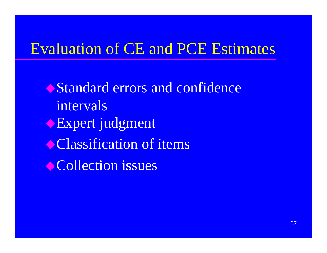### **Evaluation of CE and PCE Estimates**

Standard errors and confidence intervals Expert judgment Classification of items Collection issues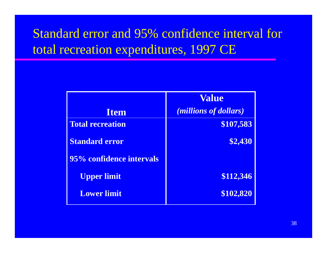### Standard error and 95% confidence interval for total recreation expenditures, 1997 CE

|                          | <b>Value</b>                   |
|--------------------------|--------------------------------|
| <b>Item</b>              | ( <i>millions of dollars</i> ) |
| <b>Total recreation</b>  | \$107,583                      |
| <b>Standard error</b>    | \$2,430                        |
| 95% confidence intervals |                                |
| <b>Upper limit</b>       | \$112,346                      |
| <b>Lower limit</b>       | \$102,820                      |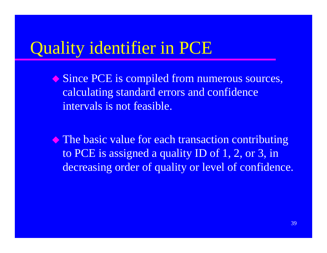## Quality identifier in PCE

- ◆ Since PCE is compiled from numerous sources, calculating standard errors and confidence intervals is not feasible.
- $\blacklozenge$  The basic value for each transaction contributing to PCE is assigned a quality ID of 1, 2, or 3, in decreasing order of quality or level of confidence.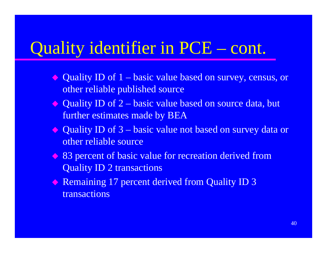#### Quality identifier in PCE  $-$  cont.

- ◆ Quality ID of 1 – basic value based on survey, census, or other reliable published source
- ◆ Quality ID of 2 basic value based on source data, but further estimates made by BEA
- ◆ Quality ID of 3 basic value not based on survey data or other reliable source
- ◆ 83 percent of basic value for recreation derived from Quality ID 2 transactions
- $\leftrightarrow$  Remaining 17 percent derived from Quality ID 3 transactions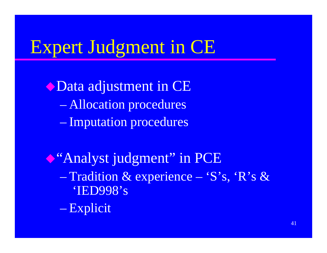# Expert Judgment in CE

Obata adjustment in CE - Allocation procedures - Imputation procedures

Casa analyst judgment" in PCE - Tradition & experience - 'S's, 'R's & 'IED998's - Explicit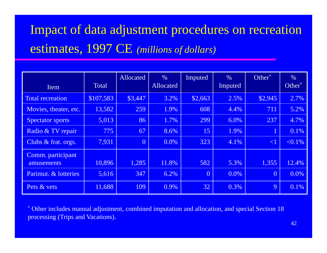## Impact of data adjustment procedures on recreation estimates, 1997 CE (millions of dollars)

| Item                            | <b>Total</b> | Allocated      | $\frac{0}{0}$<br>Allocated | Imputed        | $\%$<br>Imputed | Other <sup>*</sup> | $\frac{0}{0}$<br>Other <sup>*</sup> |
|---------------------------------|--------------|----------------|----------------------------|----------------|-----------------|--------------------|-------------------------------------|
| Total recreation                | \$107,583    | \$3,447        | 3.2%                       | \$2,663        | 2.5%            | \$2,945            | 2.7%                                |
| Movies, theater, etc.           | 13,582       | 259            | 1.9%                       | 608            | 4.4%            | 711                | 5.2%                                |
| <b>Spectator sports</b>         | 5,013        | 86             | 1.7%                       | 299            | 6.0%            | 237                | 4.7%                                |
| Radio & TV repair               | 775          | 67             | 8.6%                       | 15             | 1.9%            | $\mathbf 1$        | 0.1%                                |
| Clubs & frat. orgs.             | 7,931        | $\overline{0}$ | 0.0%                       | 323            | 4.1%            | $\leq$ 1           | $< 0.1\%$                           |
| Comm. participant<br>amusements | 10,896       | 1,285          | 11.8%                      | 582            | 5.3%            | 1,355              | 12.4%                               |
| Parimut. & lotteries            | 5,616        | 347            | 6.2%                       | $\overline{0}$ | $0.0\%$         | $\overline{0}$     | 0.0%                                |
| Pets & vets                     | 11,688       | 109            | 0.9%                       | 32             | 0.3%            | 9                  | 0.1%                                |

\* Other includes manual adjustment, combined imputation and allocation, and special Section 18 processing (Trips and Vacations).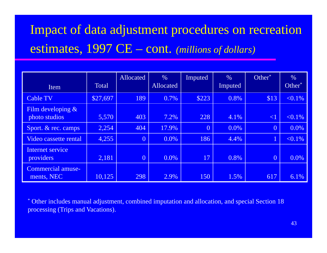## Impact of data adjustment procedures on recreation estimates, 1997 CE - cont. (millions of dollars)

| Item                                   | <b>Total</b> | Allocated      | $\%$<br>Allocated | Imputed        | $\%$<br>Imputed | Other <sup>*</sup> | $\frac{0}{0}$<br>Other <sup>*</sup> |
|----------------------------------------|--------------|----------------|-------------------|----------------|-----------------|--------------------|-------------------------------------|
| <b>Cable TV</b>                        | \$27,697     | 189            | 0.7%              | \$223          | 0.8%            | \$13               | $< 0.1\%$                           |
| Film developing $&$<br>photo studios   | 5,570        | 403            | 7.2%              | 228            | 4.1%            | $\leq$ 1           | $< 0.1\%$                           |
| Sport. & rec. camps                    | 2,254        | 404            | 17.9%             | $\overline{0}$ | 0.0%            | $\overline{0}$     | 0.0%                                |
| Video cassette rental                  | 4,255        | $\overline{0}$ | $0.0\%$           | 186            | 4.4%            | $1^{\prime}$       | $< 0.1\%$                           |
| Internet service<br>providers          | 2,181        | $\overline{0}$ | 0.0%              | 17             | 0.8%            | $\overline{0}$     | 0.0%                                |
| <b>Commercial amuse-</b><br>ments, NEC | 10,125       | 298            | 2.9%              | 150            | 1.5%            | 617                | 6.1%                                |

\* Other includes manual adjustment, combined imputation and allocation, and special Section 18 processing (Trips and Vacations).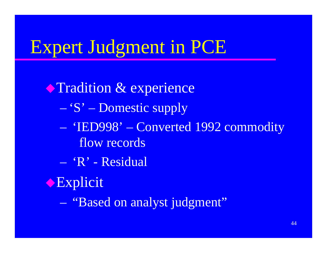# **Expert Judgment in PCE**

**Tradition & experience** - 'S' – Domestic supply - 'IED998' – Converted 1992 commodity flow records  $-$  'R' - Residual Explicit - "Based on analyst judgment"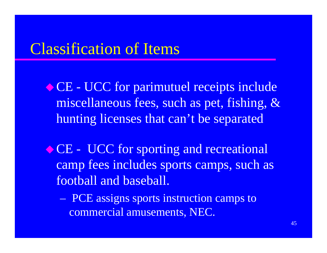### Classification of Items

CE - UCC for parimutuel receipts include miscellaneous fees, such as pet, fishing, & hunting licenses that can't be separated

◆ CE - UCC for sporting and recreational camp fees includes sports camps, such as football and baseball.

 PCE assigns sports instruction camps to commercial amusements, NEC.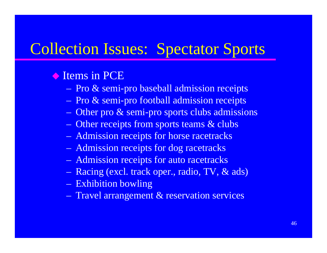#### **Collection Issues: Spectator Sports** ues: Spectator Sport

### **Items in PCE**

- Pro & semi-pro baseball admission receipts
- Pro & semi-pro football admission receipts
- Other pro & semi-pro sports clubs admissions
- Other receipts from sports teams & clubs
- Admission receipts for horse racetracks
- Admission receipts for dog racetracks
- Admission receipts for auto racetracks
- Racing (excl. track oper., radio, TV, & ads) Exhibition bowling
- Travel arrangement & reservation services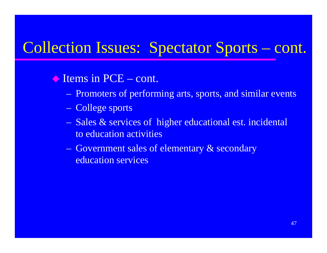## Collection Issues: Spectator Sports – cont.

### ◆ Items in PCE – cont.

- Promoters of performing arts, sports, and similar events
- College sports
- Sales & services of higher educational est. incidental to education activities
- Government sales of elementary & secondary education services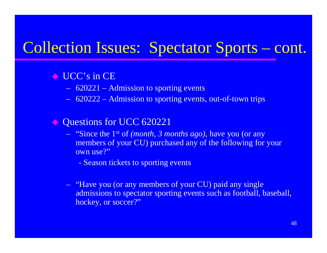### Collection Issues: Spectator Sports – cont.

### $\bullet$  UCC's in CE

- $\sim$ 620221 – Admission to sporting events
- $\mathcal{L}_{\mathcal{A}}$ 620222 – Admission to sporting events, out-of-town trips

#### $\Diamond$ Questions for UCC 620221

- "Since the 1st of *(month, 3 months ago)*, have you (or any members of your CU) purchased any of the following for your own use?"
	- Season tickets to sporting events
- $\sim$  "Have you (or any members of your CU) paid any single admissions to spectator sporting events such as football, baseball, hockey, or soccer?"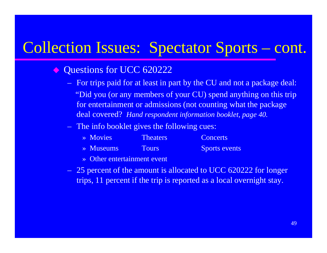## Collection Issues: Spectator Sports – cont.

#### $\Diamond$ Questions for UCC 620222

- For trips paid for at least in part by the CU and not a package deal: "Did you (or any members of your CU) spend anything on this trip for entertainment or admissions (not counting what the package deal covered? *Hand respondent information booklet, page 40.*
- The info booklet gives the following cues:

| $\rightarrow$ Movies  | <b>Theaters</b> | <b>Concerts</b>      |
|-----------------------|-----------------|----------------------|
| $\rightarrow$ Museums | <b>Tours</b>    | <b>Sports events</b> |

- » Other entertainment event
- 25 percent of the amount is allocated to UCC 620222 for longer trips, 11 percent if the trip is reported as a local overnight stay.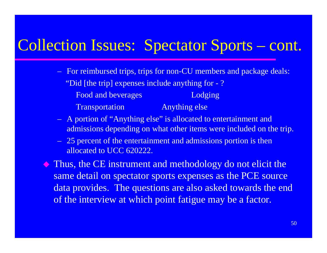#### Collection Issues: Spectator Sports n Issues: Spectator Sports – cont.

- For reimbursed trips, trips for non-CU members and package deals: "Did [the trip] expenses include anything for - ? Food and beverages Lodging Trans portation Anything else
- A portion of "Anything else" is allocated to entertainment and admissions depending on what other items were included on the trip.
- $-$  25 percent of the entertainment and admissions portion is then allocated to UCC 620222.

 $\Diamond$  Thus, the CE instrument and methodology do not elicit the same detail on spectator sports expenses as the PCE source data provides. The questions are also asked towards the end of the interview at which point fatigue may be a factor.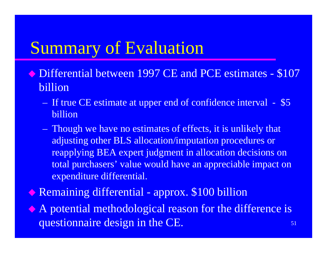## Summary of Evaluation

- ◆ Differential between 1997 CE and PCE estimates \$107 billion
	- If true CE estimate at upper end of confidence interval \$5 billion
	- Though we have no estimates of effects, it is unlikely that adjusting other BLS allocation/imputation procedures or reapplying BEA expert judgment in allocation decisions on total purchasers' value would have an appreciable impact on expenditure differential.
- Remaining differential approx. \$100 billion

 $\bullet$  A potential methodological reason for the difference is questionnaire design in the CE.